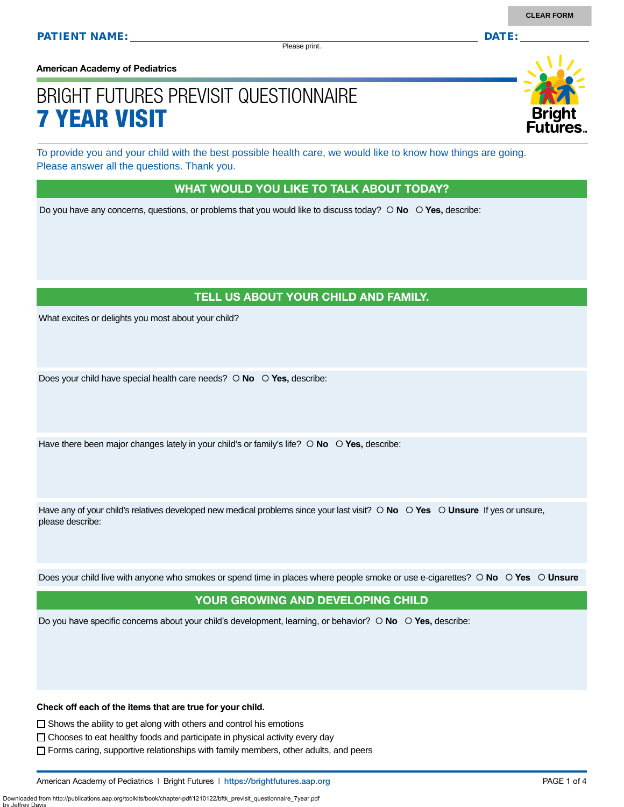Please print.

**American Academy of Pediatrics**

# BRIGHT FUTURES PREVISIT QUESTIONNAIRE 7 YEAR VISIT

To provide you and your child with the best possible health care, we would like to know how things are going. Please answer all the questions. Thank you.

#### WHAT WOULD YOU LIKE TO TALK ABOUT TODAY?

Do you have any concerns, questions, or problems that you would like to discuss today?  $\circ$  **No**  $\circ$  **Yes**, describe:

#### TELL US ABOUT YOUR CHILD AND FAMILY.

What excites or delights you most about your child?

Does your child have special health care needs?  $\circ$  **No**  $\circ$  **Yes**, describe:

Have there been major changes lately in your child's or family's life?  $\circ$  **No**  $\circ$  **Yes,** describe:

Have any of your child's relatives developed new medical problems since your last visit?  $\circ$  **No**  $\circ$  **Yes**  $\circ$  **Unsure** If yes or unsure, please describe:

Does your child live with anyone who smokes or spend time in places where people smoke or use e-cigarettes?  **No Yes Unsure**

#### YOUR GROWING AND DEVELOPING CHILD

Do you have specific concerns about your child's development, learning, or behavior?  **No Yes,** describe:

**Check off each of the items that are true for your child.** 

 $\square$  Shows the ability to get along with others and control his emotions

Downloaded from http://publications.aap.org/toolkits/book/chapter-pdf/1210122/bftk\_previsit\_questionnaire\_7year.pdf

by Jeffrey Davis

 $\Box$  Chooses to eat healthy foods and participate in physical activity every day

Forms caring, supportive relationships with family members, other adults, and peers

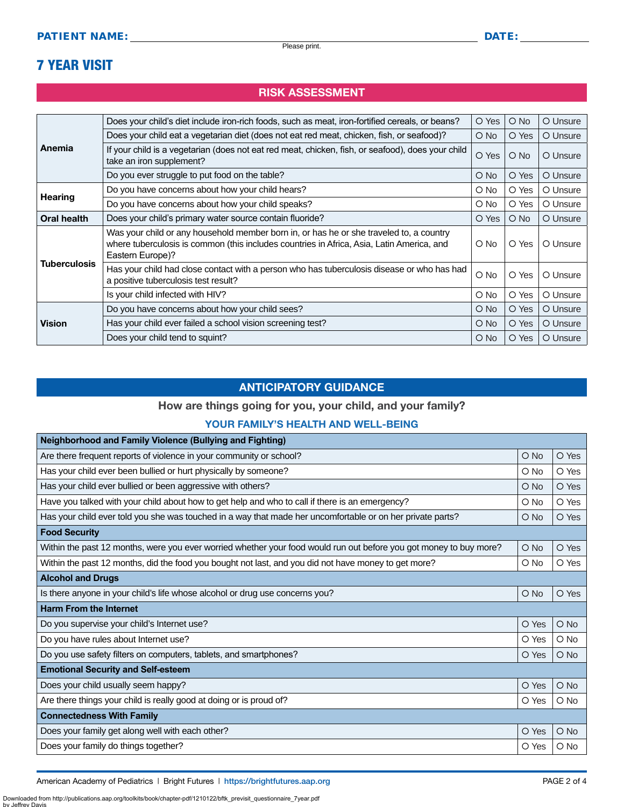### 7 YEAR VISIT

#### RISK ASSESSMENT

| Anemia<br>Hearing   | Does your child's diet include iron-rich foods, such as meat, iron-fortified cereals, or beans?                                                                                                          | O Yes         | $\bigcirc$ No | O Unsure |
|---------------------|----------------------------------------------------------------------------------------------------------------------------------------------------------------------------------------------------------|---------------|---------------|----------|
|                     | Does your child eat a vegetarian diet (does not eat red meat, chicken, fish, or seafood)?                                                                                                                | O No          | O Yes         | O Unsure |
|                     | If your child is a vegetarian (does not eat red meat, chicken, fish, or seafood), does your child<br>take an iron supplement?                                                                            | O Yes         | $\bigcirc$ No | O Unsure |
|                     | Do you ever struggle to put food on the table?                                                                                                                                                           | O No          | O Yes         | O Unsure |
|                     | Do you have concerns about how your child hears?                                                                                                                                                         | O No          | O Yes         | O Unsure |
|                     | Do you have concerns about how your child speaks?                                                                                                                                                        | O No          | O Yes         | O Unsure |
| Oral health         | Does your child's primary water source contain fluoride?                                                                                                                                                 | O Yes         | $\bigcirc$ No | O Unsure |
| <b>Tuberculosis</b> | Was your child or any household member born in, or has he or she traveled to, a country<br>where tuberculosis is common (this includes countries in Africa, Asia, Latin America, and<br>Eastern Europe)? | O No          | O Yes         | O Unsure |
|                     | Has your child had close contact with a person who has tuberculosis disease or who has had<br>a positive tuberculosis test result?                                                                       | O No          | O Yes         | O Unsure |
|                     | Is your child infected with HIV?                                                                                                                                                                         | O No          | O Yes         | O Unsure |
| <b>Vision</b>       | Do you have concerns about how your child sees?                                                                                                                                                          | $\bigcirc$ No | O Yes         | O Unsure |
|                     | Has your child ever failed a school vision screening test?                                                                                                                                               | O No          | O Yes         | O Unsure |
|                     | Does your child tend to squint?                                                                                                                                                                          | O No          | O Yes         | O Unsure |

#### ANTICIPATORY GUIDANCE

#### How are things going for you, your child, and your family?

#### YOUR FAMILY'S HEALTH AND WELL-BEING

| <b>Neighborhood and Family Violence (Bullying and Fighting)</b>                                                    |               |            |
|--------------------------------------------------------------------------------------------------------------------|---------------|------------|
| Are there frequent reports of violence in your community or school?                                                | O No          | O Yes      |
| Has your child ever been bullied or hurt physically by someone?                                                    | O No          | O Yes      |
| Has your child ever bullied or been aggressive with others?                                                        | $\bigcirc$ No | O Yes      |
| Have you talked with your child about how to get help and who to call if there is an emergency?                    | $\circ$ No    | O Yes      |
| Has your child ever told you she was touched in a way that made her uncomfortable or on her private parts?         | $O$ No        | O Yes      |
| <b>Food Security</b>                                                                                               |               |            |
| Within the past 12 months, were you ever worried whether your food would run out before you got money to buy more? | O No          | O Yes      |
| Within the past 12 months, did the food you bought not last, and you did not have money to get more?               | $\circ$ No    | O Yes      |
| <b>Alcohol and Drugs</b>                                                                                           |               |            |
| Is there anyone in your child's life whose alcohol or drug use concerns you?                                       | $O$ No        | O Yes      |
| <b>Harm From the Internet</b>                                                                                      |               |            |
| Do you supervise your child's Internet use?                                                                        | O Yes         | $O$ No     |
| Do you have rules about Internet use?                                                                              | O Yes         | $O$ No     |
| Do you use safety filters on computers, tablets, and smartphones?                                                  | O Yes         | $O$ No     |
| <b>Emotional Security and Self-esteem</b>                                                                          |               |            |
| Does your child usually seem happy?                                                                                | O Yes         | $O$ No     |
| Are there things your child is really good at doing or is proud of?                                                | O Yes         | $O$ No     |
| <b>Connectedness With Family</b>                                                                                   |               |            |
| Does your family get along well with each other?                                                                   | O Yes         | O No       |
| Does your family do things together?                                                                               | O Yes         | $\circ$ No |

American Academy of Pediatrics | Bright Futures | https:/[/brightfutures.aap.org](https://brightfutures.aap.org/Pages/default.aspx) | Namerican Academy of PAGE 2 of 4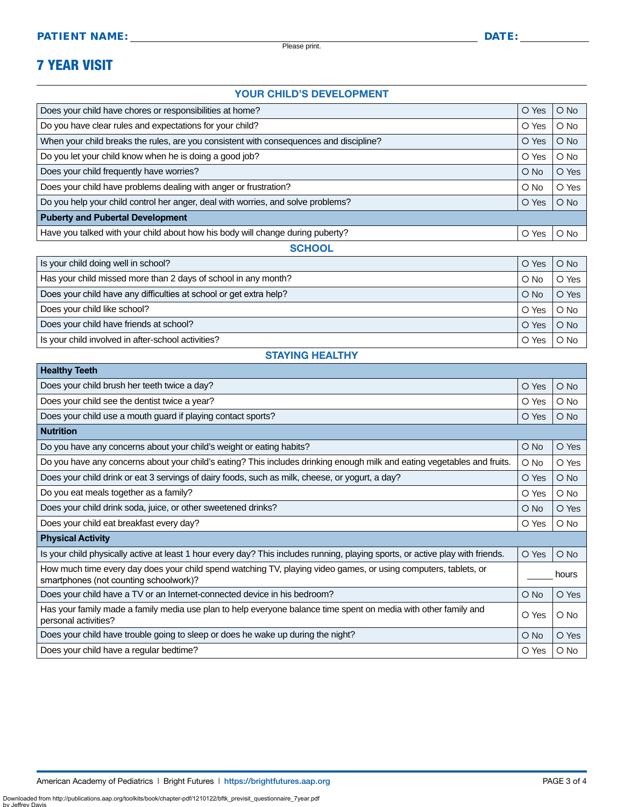Please print.

## 7 YEAR VISIT

#### YOUR CHILD'S DEVELOPMENT

| Does your child have chores or responsibilities at home?                               |       | $O$ No        |
|----------------------------------------------------------------------------------------|-------|---------------|
| Do you have clear rules and expectations for your child?                               |       | $\bigcirc$ No |
| When your child breaks the rules, are you consistent with consequences and discipline? |       | $O$ No        |
| Do you let your child know when he is doing a good job?                                | O Yes | $\bigcirc$ No |
| Does your child frequently have worries?                                               |       | O Yes         |
| Does your child have problems dealing with anger or frustration?                       |       | O Yes         |
| Do you help your child control her anger, deal with worries, and solve problems?       |       | $\bigcirc$ No |
| <b>Puberty and Pubertal Development</b>                                                |       |               |
| Have you talked with your child about how his body will change during puberty?         | O Yes | $\circ$ No    |
| <b>SCHOOL</b>                                                                          |       |               |

| Is your child doing well in school?                                | O Yes         | $\circ$ No |
|--------------------------------------------------------------------|---------------|------------|
| Has your child missed more than 2 days of school in any month?     | $\bigcirc$ No | O Yes      |
| Does your child have any difficulties at school or get extra help? | $\bigcirc$ No | O Yes      |
| Does your child like school?                                       | O Yes         | O No       |
| Does your child have friends at school?                            | O Yes         | $\circ$ No |
| Is your child involved in after-school activities?                 | Yes           | $O$ No     |

#### STAYING HEALTHY

| <b>Healthy Teeth</b>                                                                                                                                      |               |        |
|-----------------------------------------------------------------------------------------------------------------------------------------------------------|---------------|--------|
| Does your child brush her teeth twice a day?                                                                                                              | O Yes         | $O$ No |
| Does your child see the dentist twice a year?                                                                                                             |               | $O$ No |
| Does your child use a mouth guard if playing contact sports?                                                                                              |               | $O$ No |
| <b>Nutrition</b>                                                                                                                                          |               |        |
| Do you have any concerns about your child's weight or eating habits?                                                                                      | $\bigcirc$ No | O Yes  |
| Do you have any concerns about your child's eating? This includes drinking enough milk and eating vegetables and fruits.                                  | O No          | O Yes  |
| Does your child drink or eat 3 servings of dairy foods, such as milk, cheese, or yogurt, a day?                                                           | O Yes         | $O$ No |
| Do you eat meals together as a family?                                                                                                                    | O Yes         | $O$ No |
| Does your child drink soda, juice, or other sweetened drinks?                                                                                             | O No          | O Yes  |
| Does your child eat breakfast every day?                                                                                                                  | O Yes         | $O$ No |
| <b>Physical Activity</b>                                                                                                                                  |               |        |
| Is your child physically active at least 1 hour every day? This includes running, playing sports, or active play with friends.                            | O Yes         | $O$ No |
| How much time every day does your child spend watching TV, playing video games, or using computers, tablets, or<br>smartphones (not counting schoolwork)? | hours         |        |
| Does your child have a TV or an Internet-connected device in his bedroom?                                                                                 | $\bigcirc$ No | O Yes  |
| Has your family made a family media use plan to help everyone balance time spent on media with other family and<br>personal activities?                   |               | $O$ No |
| Does your child have trouble going to sleep or does he wake up during the night?                                                                          | $\bigcirc$ No | O Yes  |
| Does your child have a regular bedtime?                                                                                                                   | O Yes         | $O$ No |